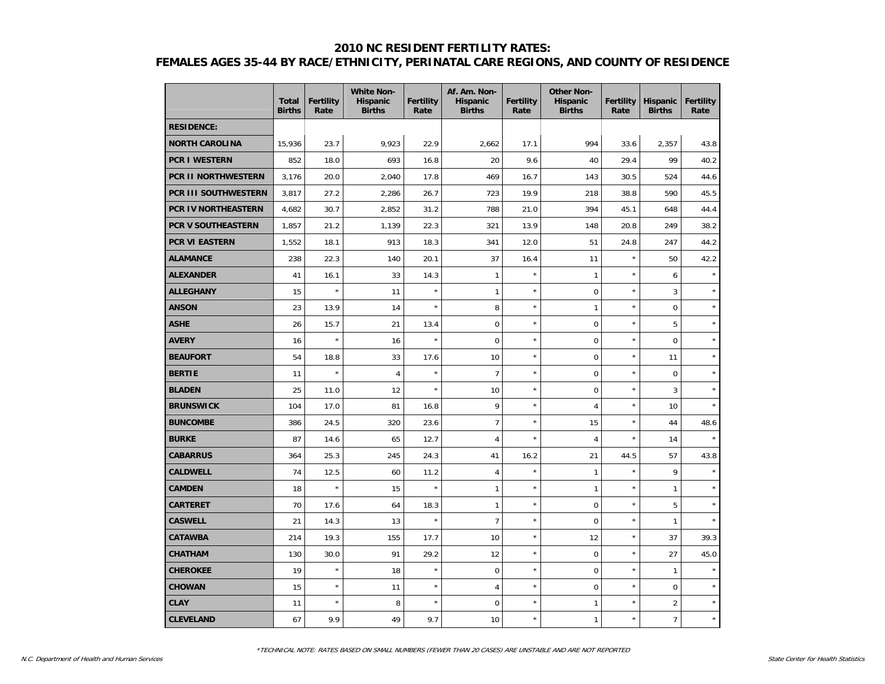#### **2010 NC RESIDENT FERTILITY RATES:**

# **FEMALES AGES 35-44 BY RACE/ETHNICITY, PERINATAL CARE REGIONS, AND COUNTY OF RESIDENCE**

|                       | <b>Total</b><br><b>Births</b> | <b>Fertility</b><br>Rate | <b>White Non-</b><br><b>Hispanic</b><br><b>Births</b> | <b>Fertility</b><br>Rate | Af. Am. Non-<br><b>Hispanic</b><br><b>Births</b> | <b>Fertility</b><br>Rate | <b>Other Non-</b><br><b>Hispanic</b><br><b>Births</b> | <b>Fertility</b><br>Rate | <b>Hispanic</b><br><b>Births</b> | <b>Fertility</b><br>Rate |
|-----------------------|-------------------------------|--------------------------|-------------------------------------------------------|--------------------------|--------------------------------------------------|--------------------------|-------------------------------------------------------|--------------------------|----------------------------------|--------------------------|
| <b>RESIDENCE:</b>     |                               |                          |                                                       |                          |                                                  |                          |                                                       |                          |                                  |                          |
| <b>NORTH CAROLINA</b> | 15,936                        | 23.7                     | 9,923                                                 | 22.9                     | 2,662                                            | 17.1                     | 994                                                   | 33.6                     | 2,357                            | 43.8                     |
| <b>PCR I WESTERN</b>  | 852                           | 18.0                     | 693                                                   | 16.8                     | 20                                               | 9.6                      | 40                                                    | 29.4                     | 99                               | 40.2                     |
| PCR II NORTHWESTERN   | 3,176                         | 20.0                     | 2,040                                                 | 17.8                     | 469                                              | 16.7                     | 143                                                   | 30.5                     | 524                              | 44.6                     |
| PCR III SOUTHWESTERN  | 3,817                         | 27.2                     | 2,286                                                 | 26.7                     | 723                                              | 19.9                     | 218                                                   | 38.8                     | 590                              | 45.5                     |
| PCR IV NORTHEASTERN   | 4,682                         | 30.7                     | 2,852                                                 | 31.2                     | 788                                              | 21.0                     | 394                                                   | 45.1                     | 648                              | 44.4                     |
| PCR V SOUTHEASTERN    | 1,857                         | 21.2                     | 1,139                                                 | 22.3                     | 321                                              | 13.9                     | 148                                                   | 20.8                     | 249                              | 38.2                     |
| PCR VI EASTERN        | 1,552                         | 18.1                     | 913                                                   | 18.3                     | 341                                              | 12.0                     | 51                                                    | 24.8                     | 247                              | 44.2                     |
| <b>ALAMANCE</b>       | 238                           | 22.3                     | 140                                                   | 20.1                     | 37                                               | 16.4                     | 11                                                    | $\star$                  | 50                               | 42.2                     |
| <b>ALEXANDER</b>      | 41                            | 16.1                     | 33                                                    | 14.3                     | $\mathbf{1}$                                     | $\star$                  | 1                                                     | $\star$                  | 6                                | $\star$                  |
| <b>ALLEGHANY</b>      | 15                            | $\star$                  | 11                                                    | $\star$                  | $\mathbf{1}$                                     | $\star$                  | $\mathbf 0$                                           | $\star$                  | 3                                | $\star$                  |
| <b>ANSON</b>          | 23                            | 13.9                     | 14                                                    | $\star$                  | 8                                                | $\star$                  | $\mathbf{1}$                                          | $\star$                  | $\mathbf 0$                      | $\star$                  |
| <b>ASHE</b>           | 26                            | 15.7                     | 21                                                    | 13.4                     | $\mathbf 0$                                      | $\star$                  | $\mathbf 0$                                           | $\star$                  | 5                                | $\star$                  |
| <b>AVERY</b>          | 16                            | $\star$                  | 16                                                    | $\star$                  | $\mathbf 0$                                      | $\star$                  | $\mathsf 0$                                           | $\star$                  | $\mathbf 0$                      | $\star$                  |
| <b>BEAUFORT</b>       | 54                            | 18.8                     | 33                                                    | 17.6                     | 10                                               | $\star$                  | $\mathbf 0$                                           | $\star$                  | 11                               | $\star$                  |
| <b>BERTIE</b>         | 11                            | $\star$                  | $\overline{4}$                                        | $\star$                  | $\overline{7}$                                   | $\star$                  | $\mathbf 0$                                           | $\star$                  | $\mathbf 0$                      | $\star$                  |
| <b>BLADEN</b>         | 25                            | 11.0                     | 12                                                    | $\star$                  | 10                                               | $\star$                  | $\mathsf 0$                                           | $\star$                  | 3                                | $\star$                  |
| <b>BRUNSWICK</b>      | 104                           | 17.0                     | 81                                                    | 16.8                     | 9                                                | $\star$                  | $\overline{4}$                                        | $\star$                  | 10                               | $\star$                  |
| <b>BUNCOMBE</b>       | 386                           | 24.5                     | 320                                                   | 23.6                     | $\overline{7}$                                   | $\star$                  | 15                                                    | ×                        | 44                               | 48.6                     |
| <b>BURKE</b>          | 87                            | 14.6                     | 65                                                    | 12.7                     | $\overline{4}$                                   |                          | 4                                                     | $\star$                  | 14                               |                          |
| <b>CABARRUS</b>       | 364                           | 25.3                     | 245                                                   | 24.3                     | 41                                               | 16.2                     | 21                                                    | 44.5                     | 57                               | 43.8                     |
| <b>CALDWELL</b>       | 74                            | 12.5                     | 60                                                    | 11.2                     | $\overline{4}$                                   | $\star$                  | $\mathbf{1}$                                          | $\star$                  | 9                                | $\star$                  |
| <b>CAMDEN</b>         | 18                            | $\star$                  | 15                                                    | $\star$                  | $\mathbf{1}$                                     | $\star$                  | 1                                                     | $\star$                  | $\mathbf{1}$                     | $\star$                  |
| <b>CARTERET</b>       | 70                            | 17.6                     | 64                                                    | 18.3                     | $\mathbf{1}$                                     | $\star$                  | $\pmb{0}$                                             | $\star$                  | 5                                | $\star$                  |
| <b>CASWELL</b>        | 21                            | 14.3                     | 13                                                    | $\star$                  | $\overline{7}$                                   | $\star$                  | $\mathbf 0$                                           | $\star$                  | $\mathbf{1}$                     | $\star$                  |
| <b>CATAWBA</b>        | 214                           | 19.3                     | 155                                                   | 17.7                     | 10                                               | $\star$                  | 12                                                    | $\star$                  | 37                               | 39.3                     |
| <b>CHATHAM</b>        | 130                           | 30.0                     | 91                                                    | 29.2                     | 12                                               | $\star$                  | $\mathbf 0$                                           | $\star$                  | 27                               | 45.0                     |
| <b>CHEROKEE</b>       | 19                            | $\star$                  | 18                                                    | $\star$                  | $\mathbf 0$                                      | $\star$                  | $\mathbf 0$                                           | $\star$                  | $\mathbf{1}$                     | $\star$                  |
| <b>CHOWAN</b>         | 15                            | $\star$                  | 11                                                    | $\star$                  | $\overline{4}$                                   | $\star$                  | $\pmb{0}$                                             | $\star$                  | $\mathbf 0$                      | $\star$                  |
| <b>CLAY</b>           | 11                            | $\star$                  | 8                                                     | $\star$                  | 0                                                | $\star$                  | 1                                                     | $\star$                  | 2                                | $\star$                  |
| <b>CLEVELAND</b>      | 67                            | 9.9                      | 49                                                    | 9.7                      | 10                                               | $\star$                  | $\mathbf{1}$                                          | $\star$                  | $\overline{7}$                   | $\star$                  |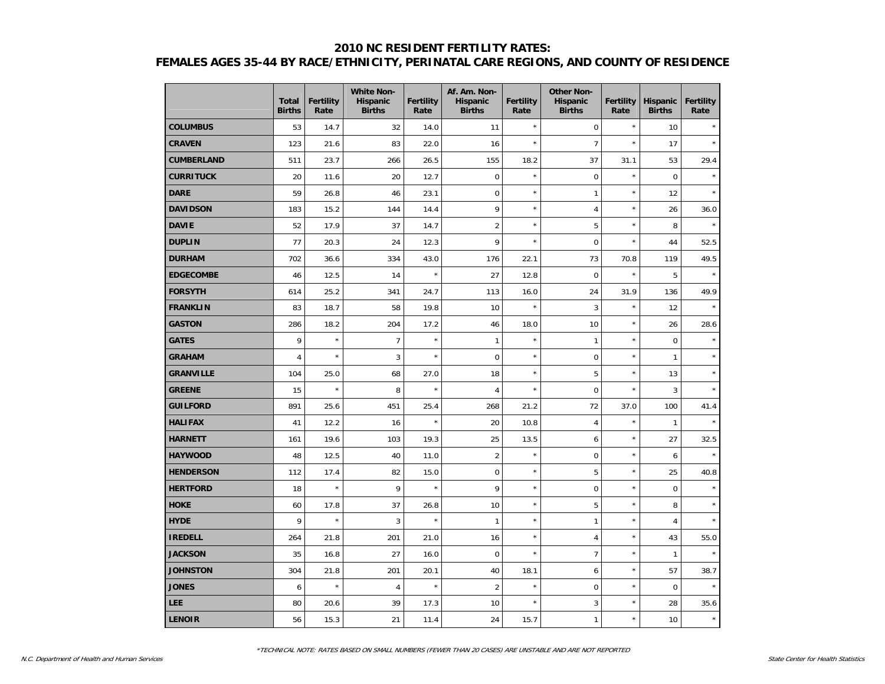## **2010 NC RESIDENT FERTILITY RATES: FEMALES AGES 35-44 BY RACE/ETHNICITY, PERINATAL CARE REGIONS, AND COUNTY OF RESIDENCE**

|                   | <b>Total</b><br><b>Births</b> | <b>Fertility</b><br>Rate | <b>White Non-</b><br>Hispanic<br><b>Births</b> | <b>Fertility</b><br>Rate | Af. Am. Non-<br><b>Hispanic</b><br><b>Births</b> | Fertility<br>Rate | <b>Other Non-</b><br><b>Hispanic</b><br><b>Births</b> | <b>Fertility</b><br>Rate | <b>Hispanic</b><br><b>Births</b> | <b>Fertility</b><br>Rate |
|-------------------|-------------------------------|--------------------------|------------------------------------------------|--------------------------|--------------------------------------------------|-------------------|-------------------------------------------------------|--------------------------|----------------------------------|--------------------------|
| <b>COLUMBUS</b>   | 53                            | 14.7                     | 32                                             | 14.0                     | 11                                               | $\star$           | $\mathbf 0$                                           | $\star$                  | 10                               |                          |
| <b>CRAVEN</b>     | 123                           | 21.6                     | 83                                             | 22.0                     | 16                                               | $\star$           | $\overline{7}$                                        | $\star$                  | 17                               | $\star$                  |
| <b>CUMBERLAND</b> | 511                           | 23.7                     | 266                                            | 26.5                     | 155                                              | 18.2              | 37                                                    | 31.1                     | 53                               | 29.4                     |
| <b>CURRITUCK</b>  | 20                            | 11.6                     | 20                                             | 12.7                     | $\mathbf 0$                                      | $\star$           | $\mathsf 0$                                           | $\star$                  | $\mathbf 0$                      | $\star$                  |
| <b>DARE</b>       | 59                            | 26.8                     | 46                                             | 23.1                     | $\mathbf 0$                                      | $\star$           | $\mathbf{1}$                                          | $\star$                  | 12                               |                          |
| <b>DAVIDSON</b>   | 183                           | 15.2                     | 144                                            | 14.4                     | 9                                                | $\star$           | $\overline{4}$                                        | $\star$                  | 26                               | 36.0                     |
| <b>DAVIE</b>      | 52                            | 17.9                     | 37                                             | 14.7                     | $\overline{c}$                                   | $\star$           | 5                                                     | $\star$                  | 8                                |                          |
| <b>DUPLIN</b>     | 77                            | 20.3                     | 24                                             | 12.3                     | 9                                                | $\star$           | $\mathbf 0$                                           | $\star$                  | 44                               | 52.5                     |
| <b>DURHAM</b>     | 702                           | 36.6                     | 334                                            | 43.0                     | 176                                              | 22.1              | 73                                                    | 70.8                     | 119                              | 49.5                     |
| <b>EDGECOMBE</b>  | 46                            | 12.5                     | 14                                             | $\star$                  | 27                                               | 12.8              | $\mathbf 0$                                           | $\star$                  | 5                                | $\star$                  |
| <b>FORSYTH</b>    | 614                           | 25.2                     | 341                                            | 24.7                     | 113                                              | 16.0              | 24                                                    | 31.9                     | 136                              | 49.9                     |
| <b>FRANKLIN</b>   | 83                            | 18.7                     | 58                                             | 19.8                     | 10                                               | $\star$           | 3                                                     | $\star$                  | 12                               |                          |
| <b>GASTON</b>     | 286                           | 18.2                     | 204                                            | 17.2                     | 46                                               | 18.0              | 10                                                    | $\star$                  | 26                               | 28.6                     |
| <b>GATES</b>      | 9                             | $\star$                  | $\overline{7}$                                 | $\star$                  | $\mathbf{1}$                                     | $\star$           | $\mathbf{1}$                                          | $\star$                  | $\mathbf 0$                      |                          |
| <b>GRAHAM</b>     | $\overline{4}$                | $\star$                  | 3                                              | $\star$                  | $\mathbf 0$                                      | $\star$           | $\mathbf 0$                                           | $\star$                  | $\mathbf{1}$                     | ÷                        |
| <b>GRANVILLE</b>  | 104                           | 25.0                     | 68                                             | 27.0                     | 18                                               | $\star$           | 5                                                     | $\star$                  | 13                               | $\star$                  |
| <b>GREENE</b>     | 15                            | $\star$                  | 8                                              | $\star$                  | 4                                                | $\star$           | $\mathbf 0$                                           | $\star$                  | 3                                |                          |
| <b>GUILFORD</b>   | 891                           | 25.6                     | 451                                            | 25.4                     | 268                                              | 21.2              | 72                                                    | 37.0                     | 100                              | 41.4                     |
| <b>HALIFAX</b>    | 41                            | 12.2                     | 16                                             | $\star$                  | 20                                               | 10.8              | $\overline{4}$                                        | $\star$                  | $\mathbf{1}$                     | $\star$                  |
| <b>HARNETT</b>    | 161                           | 19.6                     | 103                                            | 19.3                     | 25                                               | 13.5              | 6                                                     | $\star$                  | 27                               | 32.5                     |
| <b>HAYWOOD</b>    | 48                            | 12.5                     | 40                                             | 11.0                     | $\overline{c}$                                   | $\star$           | $\mathbf 0$                                           | $\star$                  | $\boldsymbol{6}$                 |                          |
| <b>HENDERSON</b>  | 112                           | 17.4                     | 82                                             | 15.0                     | $\mathbf 0$                                      | $\star$           | 5                                                     | $\star$                  | 25                               | 40.8                     |
| <b>HERTFORD</b>   | 18                            | $\star$                  | 9                                              | $\star$                  | 9                                                | $\star$           | $\mathsf 0$                                           | $\star$                  | $\mathbf 0$                      | $\star$                  |
| <b>HOKE</b>       | 60                            | 17.8                     | 37                                             | 26.8                     | 10                                               | $\star$           | 5                                                     | $\star$                  | 8                                |                          |
| <b>HYDE</b>       | 9                             | $\star$                  | 3                                              | $\star$                  | $\mathbf{1}$                                     | $\star$           | $\mathbf{1}$                                          | $\star$                  | $\sqrt{4}$                       |                          |
| <b>IREDELL</b>    | 264                           | 21.8                     | 201                                            | 21.0                     | 16                                               | $\star$           | $\overline{4}$                                        | $\star$                  | 43                               | 55.0                     |
| <b>JACKSON</b>    | 35                            | 16.8                     | 27                                             | 16.0                     | $\mathbf 0$                                      | $\star$           | $\overline{7}$                                        | $\star$                  | $\mathbf{1}$                     | $\star$                  |
| <b>JOHNSTON</b>   | 304                           | 21.8                     | 201                                            | 20.1                     | 40                                               | 18.1              | 6                                                     | $\star$                  | 57                               | 38.7                     |
| <b>JONES</b>      | 6                             | $\star$                  | $\overline{4}$                                 | $\star$                  | $\overline{2}$                                   | $\star$           | $\pmb{0}$                                             | $\star$                  | $\pmb{0}$                        |                          |
| <b>LEE</b>        | 80                            | 20.6                     | 39                                             | 17.3                     | 10                                               | $\star$           | 3                                                     | $\star$                  | 28                               | 35.6                     |
| <b>LENOIR</b>     | 56                            | 15.3                     | 21                                             | 11.4                     | 24                                               | 15.7              | $\mathbf{1}$                                          | $\star$                  | 10                               | $\star$                  |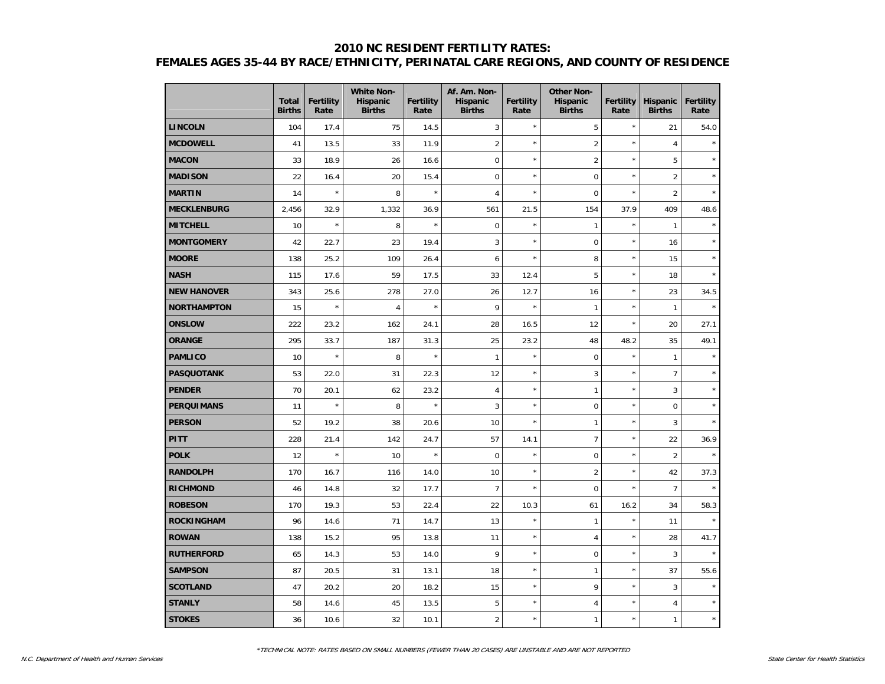## **2010 NC RESIDENT FERTILITY RATES: FEMALES AGES 35-44 BY RACE/ETHNICITY, PERINATAL CARE REGIONS, AND COUNTY OF RESIDENCE**

|                    | <b>Total</b><br><b>Births</b> | <b>Fertility</b><br>Rate | <b>White Non-</b><br><b>Hispanic</b><br><b>Births</b> | <b>Fertility</b><br>Rate | Af. Am. Non-<br><b>Hispanic</b><br><b>Births</b> | Fertility<br>Rate | <b>Other Non-</b><br><b>Hispanic</b><br><b>Births</b> | <b>Fertility</b><br>Rate | <b>Hispanic</b><br><b>Births</b> | <b>Fertility</b><br>Rate |
|--------------------|-------------------------------|--------------------------|-------------------------------------------------------|--------------------------|--------------------------------------------------|-------------------|-------------------------------------------------------|--------------------------|----------------------------------|--------------------------|
| <b>LINCOLN</b>     | 104                           | 17.4                     | 75                                                    | 14.5                     | 3                                                | $\star$           | 5                                                     | $\star$                  | 21                               | 54.0                     |
| <b>MCDOWELL</b>    | 41                            | 13.5                     | 33                                                    | 11.9                     | $\overline{c}$                                   | $\star$           | $\overline{2}$                                        | $\star$                  | $\overline{4}$                   |                          |
| <b>MACON</b>       | 33                            | 18.9                     | 26                                                    | 16.6                     | $\mathbf 0$                                      | $\star$           | $\overline{2}$                                        | $\star$                  | $\sqrt{5}$                       |                          |
| <b>MADISON</b>     | 22                            | 16.4                     | 20                                                    | 15.4                     | $\mathbf 0$                                      | $\star$           | $\mathbf 0$                                           | $\star$                  | $\sqrt{2}$                       | $\star$                  |
| <b>MARTIN</b>      | 14                            | $\star$                  | 8                                                     | $\star$                  | $\overline{4}$                                   | $\star$           | $\overline{0}$                                        | $\star$                  | $\overline{2}$                   |                          |
| <b>MECKLENBURG</b> | 2,456                         | 32.9                     | 1,332                                                 | 36.9                     | 561                                              | 21.5              | 154                                                   | 37.9                     | 409                              | 48.6                     |
| <b>MITCHELL</b>    | 10                            | $\star$                  | 8                                                     | $\star$                  | $\mathbf 0$                                      | $\star$           | $\mathbf{1}$                                          | $\star$                  | $\mathbf{1}$                     |                          |
| <b>MONTGOMERY</b>  | 42                            | 22.7                     | 23                                                    | 19.4                     | 3                                                | $\star$           | $\pmb{0}$                                             | $\star$                  | 16                               |                          |
| <b>MOORE</b>       | 138                           | 25.2                     | 109                                                   | 26.4                     | 6                                                | $\star$           | 8                                                     | $\star$                  | 15                               |                          |
| <b>NASH</b>        | 115                           | 17.6                     | 59                                                    | 17.5                     | 33                                               | 12.4              | 5                                                     | $\star$                  | 18                               | $\star$                  |
| <b>NEW HANOVER</b> | 343                           | 25.6                     | 278                                                   | 27.0                     | 26                                               | 12.7              | 16                                                    | $\star$                  | 23                               | 34.5                     |
| NORTHAMPTON        | 15                            | $\star$                  | 4                                                     | $\star$                  | 9                                                | $\star$           | $\mathbf{1}$                                          | $\star$                  | $\mathbf{1}$                     | $\star$                  |
| <b>ONSLOW</b>      | 222                           | 23.2                     | 162                                                   | 24.1                     | 28                                               | 16.5              | 12                                                    | $\star$                  | 20                               | 27.1                     |
| <b>ORANGE</b>      | 295                           | 33.7                     | 187                                                   | 31.3                     | 25                                               | 23.2              | 48                                                    | 48.2                     | 35                               | 49.1                     |
| <b>PAMLICO</b>     | 10                            | $\star$                  | 8                                                     | $\star$                  | $\mathbf{1}$                                     | $\star$           | $\mathbf 0$                                           | $\star$                  | $\mathbf{1}$                     |                          |
| <b>PASQUOTANK</b>  | 53                            | 22.0                     | 31                                                    | 22.3                     | 12                                               | $\star$           | 3                                                     | $\star$                  | $\overline{7}$                   |                          |
| <b>PENDER</b>      | 70                            | 20.1                     | 62                                                    | 23.2                     | 4                                                | $\star$           | $\mathbf{1}$                                          | $\star$                  | 3                                |                          |
| <b>PERQUIMANS</b>  | 11                            | $\star$                  | 8                                                     | $\star$                  | 3                                                | $\star$           | $\mathsf 0$                                           | $\star$                  | $\pmb{0}$                        | $\star$                  |
| <b>PERSON</b>      | 52                            | 19.2                     | 38                                                    | 20.6                     | 10                                               | $\star$           | 1                                                     | $\star$                  | $\mathbf{3}$                     | $\star$                  |
| <b>PITT</b>        | 228                           | 21.4                     | 142                                                   | 24.7                     | 57                                               | 14.1              | $\overline{7}$                                        | $\star$                  | 22                               | 36.9                     |
| <b>POLK</b>        | 12                            | $\star$                  | 10                                                    | $\star$                  | $\overline{0}$                                   | $\star$           | $\mathbf 0$                                           | $\star$                  | $\overline{2}$                   |                          |
| <b>RANDOLPH</b>    | 170                           | 16.7                     | 116                                                   | 14.0                     | 10                                               | $\star$           | $\overline{2}$                                        | $\star$                  | 42                               | 37.3                     |
| <b>RICHMOND</b>    | 46                            | 14.8                     | 32                                                    | 17.7                     | $\overline{7}$                                   | $\star$           | $\mathbf 0$                                           | $\star$                  | $\overline{7}$                   |                          |
| <b>ROBESON</b>     | 170                           | 19.3                     | 53                                                    | 22.4                     | 22                                               | 10.3              | 61                                                    | 16.2                     | 34                               | 58.3                     |
| ROCKINGHAM         | 96                            | 14.6                     | 71                                                    | 14.7                     | 13                                               | $\star$           | $\mathbf{1}$                                          | $\star$                  | 11                               |                          |
| <b>ROWAN</b>       | 138                           | 15.2                     | 95                                                    | 13.8                     | 11                                               | $\star$           | $\overline{4}$                                        | $\star$                  | 28                               | 41.7                     |
| <b>RUTHERFORD</b>  | 65                            | 14.3                     | 53                                                    | 14.0                     | 9                                                | $\star$           | 0                                                     | $\star$                  | $\mathbf{3}$                     | $\star$                  |
| <b>SAMPSON</b>     | 87                            | 20.5                     | 31                                                    | 13.1                     | 18                                               | $\star$           | $\mathbf{1}$                                          | $\star$                  | 37                               | 55.6                     |
| <b>SCOTLAND</b>    | 47                            | 20.2                     | 20                                                    | 18.2                     | 15                                               | $\star$           | 9                                                     | $\star$                  | $\mathbf{3}$                     |                          |
| <b>STANLY</b>      | 58                            | 14.6                     | 45                                                    | 13.5                     | 5                                                | $\star$           | $\overline{4}$                                        | $\star$                  | $\overline{4}$                   |                          |
| <b>STOKES</b>      | 36                            | 10.6                     | 32                                                    | 10.1                     | $\overline{c}$                                   | $\star$           | $\mathbf{1}$                                          | $\star$                  | $\mathbf{1}$                     | $\star$                  |